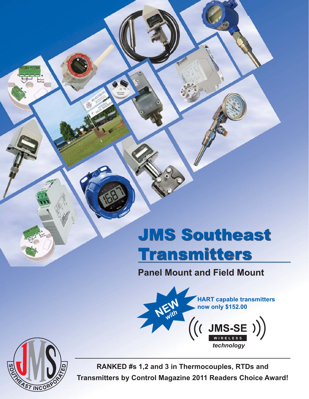# JMS Southeast **Transmitters**

**Panel Mount and Field Mount**





**RANKED #s 1,2 and 3 in Thermocouples, RTDs and Transmitters by Control Magazine 2011 Readers Choice Award!**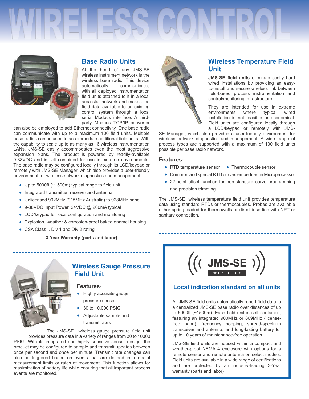

### **Base Radio Units**

At the heart of any JMS-SE wireless instrument network is the wireless base radio. This device automatically communicates with all deployed instrumentation field units attached to it in a local area star network and makes the field data available to an existing control system through a local serial Modbus interface. A thirdparty Modbus TCP/IP converter

can also be employed to add Ethernet connectivity. One base radio can communicate with up to a maximum 100 field units. Multiple base radios can be used to accommodate additional field units. With the capability to scale up to as many as 16 wireless instrumentation LANs, JMS-SE easily accommodates even the most aggressive expansion plans. The product is powered by readily-available 9-38VDC and is self-contained for use in extreme environments. The base radio may be configured locally through its LCD/keypad or remotely with JMS-SE Manager, which also provides a user-friendly environment for wireless network diagnostics and management.

- Up to 5000ft ( $\sim$ 1500m) typical range to field unit
- Integrated transmitter, receiver and antenna
- Unlicensed 902MHz (915MHz Australia) to 928MHz band
- 9-38VDC Input Power, 24VDC @ 200mA typical
- LCD/keypad for local configuration and monitoring
- Explosion, weather & corrosion-proof baked enamel housing
- CSA Class I, Div 1 and Div 2 rating

**—3-Year Warranty (parts and labor)—**



#### **Wireless Gauge Pressure Field Unit**

#### **Features:**

- Highly accurate gauge pressure sensor
- 30 to 10,000 PSIG
- Adjustable sample and transmit rates

The JMS-SE wireless gauge pressure field unit provides pressure data in a variety of ranges from 30 to 10000 PSIG. With its integrated and highly sensitive sensor design, the product may be configured to sample and transmit updates between once per second and once per minute. Transmit rate changes can also be triggered based on events that are defined in terms of measurement limits or rates of movement. This function allows for maximization of battery life while ensuring that all important process events are monitored.



## **Wireless Temperature Field Unit**

JMS-SE field units eliminate costly hard wired installations by providing an easyto-install and secure wireless link between field-based process instrumentation and control/monitoring infrastructure.

They are intended for use in extreme environments where typical wired installation is not feasible or economical. Field units are configured locally through a LCD/keypad or remotely with JMS-

SE Manager, which also provides a user-friendly environment for wireless network diagnostics and management. A wide range of process types are supported with a maximum of 100 field units possible per base radio network.

#### **Features:**

- RTD temperature sensor Thermocouple sensor
- Common and special RTD curves embedded in Microprocessor
- 22-point offset function for non-standard curve programming and precision trimming

The JMS-SE wireless temperature field unit provides temperature data using standard RTDs or thermocouples. Probes are available either spring-loaded for thermowells or direct insertion with NPT or sanitary connection.

..............................



#### **Local indication standard on all units**

All JMS-SE field units automatically report field data to a centralized JMS-SE base radio over distances of up to 5000ft  $($ ~1500m). Each field unit is self contained, featuring an integrated 900MHz or 869MHz (licensefree band), frequency hopping, spread-spectrum transceiver and antenna, and long-lasting battery for up to 10 years of maintenance-free operation.

JMS-SE field units are housed within a compact and weather-proof NEMA 4 enclosure with options for a remote sensor and remote antenna on select models. Field units are available in a wide range of certifications and are protected by an industry-leading 3-Year warranty (parts and labor)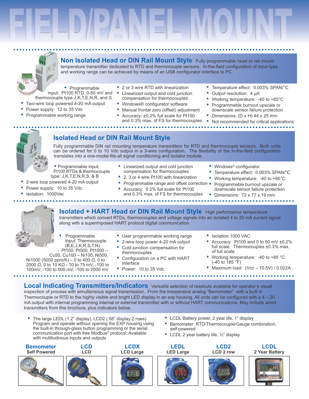

Non Isolated Head or DIN Rail Mount Style Fully programmable head or rail mount temperature transmitter dedicated to RTD and thermocouple sensors. In-the-field configuration of input type and working range can be achieved by means of an USB configurator interface to PC.

- Programmable input: Pt100 RTD, 0-50 mV and thermocouple type J,K,T,E,N,R, and S
- Two-wire loop powered 4-20 mA output
- Power supply: 12 to 35 Vdc
- Programmable working range
- 2 or 3 wire RTD with linearization
- Linearized output and cold junction compensation for thermocouples
- Windows® configurator software
- Manual frontal zero (offset) adjustment
- Accuracy: ±0.2% full scale for Pt100 and 0.3% max. of FS for thermocouples
- Temperature effect: 0.003% SPAN/°C
- Output resolution: 4 µA
- Working temperature: -40 to +85°C
- Programmable burnout upscale or downscale sensor failure protection
- Dimensions: (D x H) 44 x 25 mm
- Not recommended for critical applications

Temperature effect: 0.003% SPAN/°C

Working temperature: -40 to +85°C

Programmable burnout upscale or

downscale sensor failure protection



## **Isolated Head or DIN Rail Mount Style**

Fully programmable DIN rail mounting temperature transmitters for RTD and thermocouple sensors. Both units can be ordered for 0 to 10 Vdc output in a 3-wire configuration. The flexibility of the in-the-field configuration translates into a one-model-fits-all signal conditioning and isolator module.

• Programmable input: Pt100 RTDs & thermocouple type: J,K,T,E,N,R,S, & B

- 2-wire loop powered 4-20 mA output
- Power supply: 10 to 35 Vdc
- Isolation: 1000Vac
- Linearized output and cold junction compensation for thermocouples 2, 3 or 4 wire Pt100 with linearization
- Programmable range and offset correction .
- Accuracy: 0.2% full scale for Pt100 and 0.3% max. of FS for thermocouples
	- Dimensions: 72 x 77 x 19 mm

• Windows<sup>®</sup> configurator



- **Isolated + HART Head or DIN Rail Mount Style** High performance temperature transmitters which convert RTDs, thermocouples and voltage signals into an isolated 4 to 20 mA current signal along with a superimposed HART protocol digital communication.
- Programmable Input: Thermocouple  $(B, E, J, K, R, S, T, N)$
- Pt100. Pt500. Pt1000 -Cu50, Cu100 - Ni100, Ni500, Ni1000 (5000 ppm/K) – 0 to 400 Ω, 0 to 2000 Ω, 0 to 10 KΩ - 10 to 75 mV, -100 to 100mV, -100 to 500 mV, -100 to 2000 mV
- User programmable working range
- 2-wire loop power 4-20 mA output
- Cold junction compensation for thermocouples
- Configuration on a PC with HART interface
- Power: 10 to 35 Vdc
- · Isolation 1000 VAC
- Accuracy: Pt100 and 0 to 50 mV ±0.2% full scale. Thermocouples ±0.3% max. of full scale
- Working temperature: -40 to +85 °C  $(-40 \text{ to } 185 \text{ °F})$
- Maximum load: (Vcc 10.5V) / 0.022A

**Local Indicating Transmitters/Indicators** Versatile selection of readouts available for operator's visual inspection of process with simultaneous signal transmission.. From the inexpensive analog "Bemometer" with a built in Thermocouple or RTD to the highly visible and bright LED display in an exp housing. All units can be configured with a  $4 - 20$ mA output with internal programming internal or external transmitter with or without HART communications. May include wired transmitters from this brochure, plus indicators below.

The large LEDL (1.2" display), LCD2 (.58" display 2 rows) Program and operate without opening the EXP housing using the built-in through-glass button programming or the serial communication port with free Modbus<sup>®</sup> protocol. Available with multitudinous inputs and outputs

**Bemometer Self Powered** 





LCD



- LCDL Battery power, 2 year life, 1" display
- Bemometer RTD/Thermocouple/Gauge combination, self powered
- LCDL 2 year battery life, 1/2" display



**LCDL** 2 Year Battery



**LCDX LEDL**